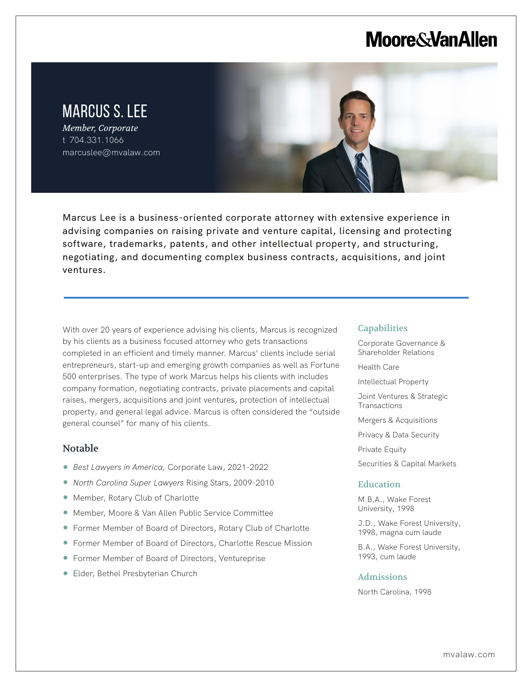# **Moore & Van Allen**

# MARCUS S. LEE

*Member, Corporate* t 704.331.1066 marcuslee@mvalaw.com

Marcus Lee is a business-oriented corporate attorney with extensive experience in advising companies on raising private and venture capital, licensing and protecting software, trademarks, patents, and other intellectual property, and structuring, negotiating, and documenting complex business contracts, acquisitions, and joint ventures.

With over 20 years of experience advising his clients, Marcus is recognized by his clients as a business focused attorney who gets transactions completed in an efficient and timely manner. Marcus' clients include serial entrepreneurs, start-up and emerging growth companies as well as Fortune 500 enterprises. The type of work Marcus helps his clients with includes company formation, negotiating contracts, private placements and capital raises, mergers, acquisitions and joint ventures, protection of intellectual property, and general legal advice. Marcus is often considered the "outside general counsel" for many of his clients.

## Notable

l,

- *Best Lawyers in America,* Corporate Law, 2021-2022
- *North Carolina Super Lawyers* Rising Stars, 2009-2010
- Member, Rotary Club of Charlotte
- Member, Moore & Van Allen Public Service Committee
- Former Member of Board of Directors, Rotary Club of Charlotte
- Former Member of Board of Directors, Charlotte Rescue Mission
- Former Member of Board of Directors, Ventureprise
- Elder, Bethel Presbyterian Church

#### **Capabilities**

Corporate Governance & Shareholder Relations

Health Care

Intellectual Property

Joint Ventures & Strategic **Transactions** 

Mergers & Acquisitions

Privacy & Data Security

Private Equity

Securities & Capital Markets

#### **Education**

M.B.A., Wake Forest University, 1998

J.D., Wake Forest University, 1998, magna cum laude

B.A., Wake Forest University, 1993, cum laude

#### Admissions

North Carolina, 1998